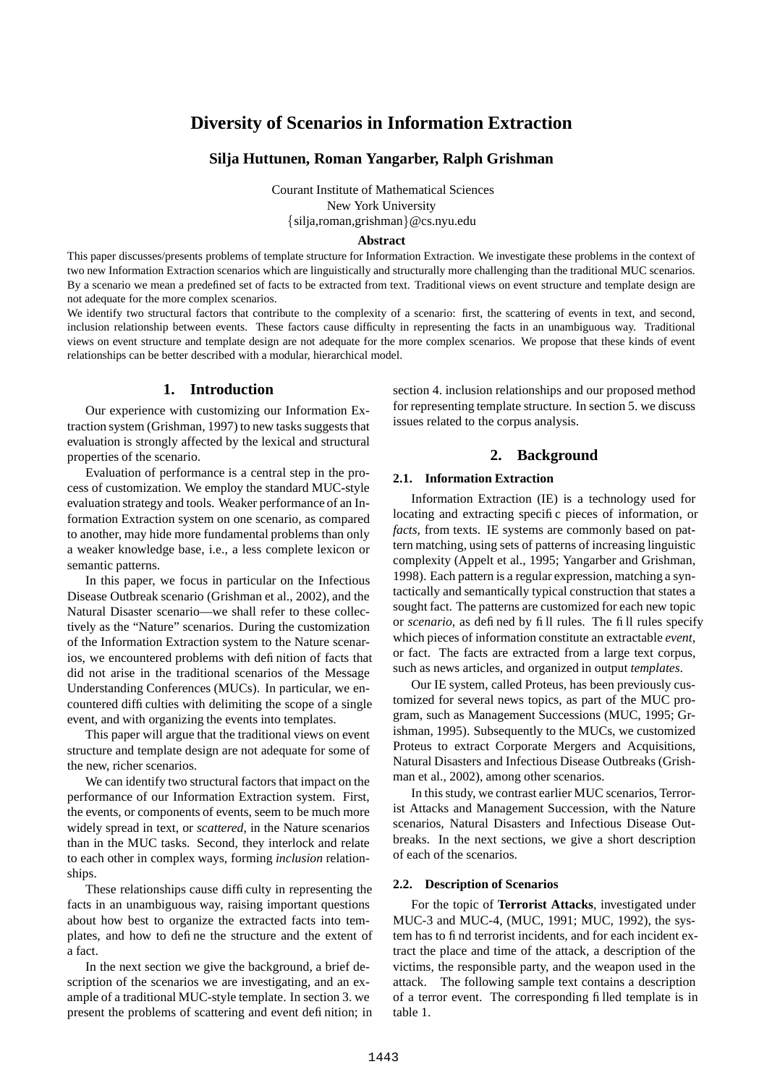# **Diversity of Scenarios in Information Extraction**

## **Silja Huttunen, Roman Yangarber, Ralph Grishman**

Courant Institute of Mathematical Sciences New York University silja,roman,grishman @cs.nyu.edu

#### **Abstract**

This paper discusses/presents problems of template structure for Information Extraction. We investigate these problems in the context of two new Information Extraction scenarios which are linguistically and structurally more challenging than the traditional MUC scenarios. By a scenario we mean a predefined set of facts to be extracted from text. Traditional views on event structure and template design are not adequate for the more complex scenarios.

We identify two structural factors that contribute to the complexity of a scenario: first, the scattering of events in text, and second, inclusion relationship between events. These factors cause difficulty in representing the facts in an unambiguous way. Traditional views on event structure and template design are not adequate for the more complex scenarios. We propose that these kinds of event relationships can be better described with a modular, hierarchical model.

# **1. Introduction**

Our experience with customizing our Information Extraction system (Grishman, 1997) to new tasks suggests that evaluation is strongly affected by the lexical and structural properties of the scenario.

Evaluation of performance is a central step in the process of customization. We employ the standard MUC-style evaluation strategy and tools. Weaker performance of an Information Extraction system on one scenario, as compared to another, may hide more fundamental problems than only a weaker knowledge base, i.e., a less complete lexicon or semantic patterns.

In this paper, we focus in particular on the Infectious Disease Outbreak scenario (Grishman et al., 2002), and the Natural Disaster scenario—we shall refer to these collectively as the "Nature" scenarios. During the customization of the Information Extraction system to the Nature scenarios, we encountered problems with definition of facts that did not arise in the traditional scenarios of the Message Understanding Conferences (MUCs). In particular, we encountered difficulties with delimiting the scope of a single event, and with organizing the events into templates.

This paper will argue that the traditional views on event structure and template design are not adequate for some of the new, richer scenarios.

We can identify two structural factors that impact on the performance of our Information Extraction system. First, the events, or components of events, seem to be much more widely spread in text, or *scattered*, in the Nature scenarios than in the MUC tasks. Second, they interlock and relate to each other in complex ways, forming *inclusion* relationships.

These relationships cause difficulty in representing the facts in an unambiguous way, raising important questions about how best to organize the extracted facts into templates, and how to define the structure and the extent of a fact.

In the next section we give the background, a brief description of the scenarios we are investigating, and an example of a traditional MUC-style template. In section 3. we present the problems of scattering and event definition; in section 4. inclusion relationships and our proposed method for representing template structure. In section 5. we discuss issues related to the corpus analysis.

## **2. Background**

## **2.1. Information Extraction**

Information Extraction (IE) is a technology used for locating and extracting specific pieces of information, or *facts*, from texts. IE systems are commonly based on pattern matching, using sets of patterns of increasing linguistic complexity (Appelt et al., 1995; Yangarber and Grishman, 1998). Each pattern is a regular expression, matching a syntactically and semantically typical construction that states a sought fact. The patterns are customized for each new topic or *scenario*, as defined by fill rules. The fill rules specify which pieces of information constitute an extractable *event*, or fact. The facts are extracted from a large text corpus, such as news articles, and organized in output *templates*.

Our IE system, called Proteus, has been previously customized for several news topics, as part of the MUC program, such as Management Successions (MUC, 1995; Grishman, 1995). Subsequently to the MUCs, we customized Proteus to extract Corporate Mergers and Acquisitions, Natural Disasters and Infectious Disease Outbreaks (Grishman et al., 2002), among other scenarios.

In this study, we contrast earlier MUC scenarios, Terrorist Attacks and Management Succession, with the Nature scenarios, Natural Disasters and Infectious Disease Outbreaks. In the next sections, we give a short description of each of the scenarios.

#### **2.2. Description of Scenarios**

For the topic of **Terrorist Attacks**, investigated under MUC-3 and MUC-4, (MUC, 1991; MUC, 1992), the system has to find terrorist incidents, and for each incident extract the place and time of the attack, a description of the victims, the responsible party, and the weapon used in the attack. The following sample text contains a description of a terror event. The corresponding filled template is in table 1.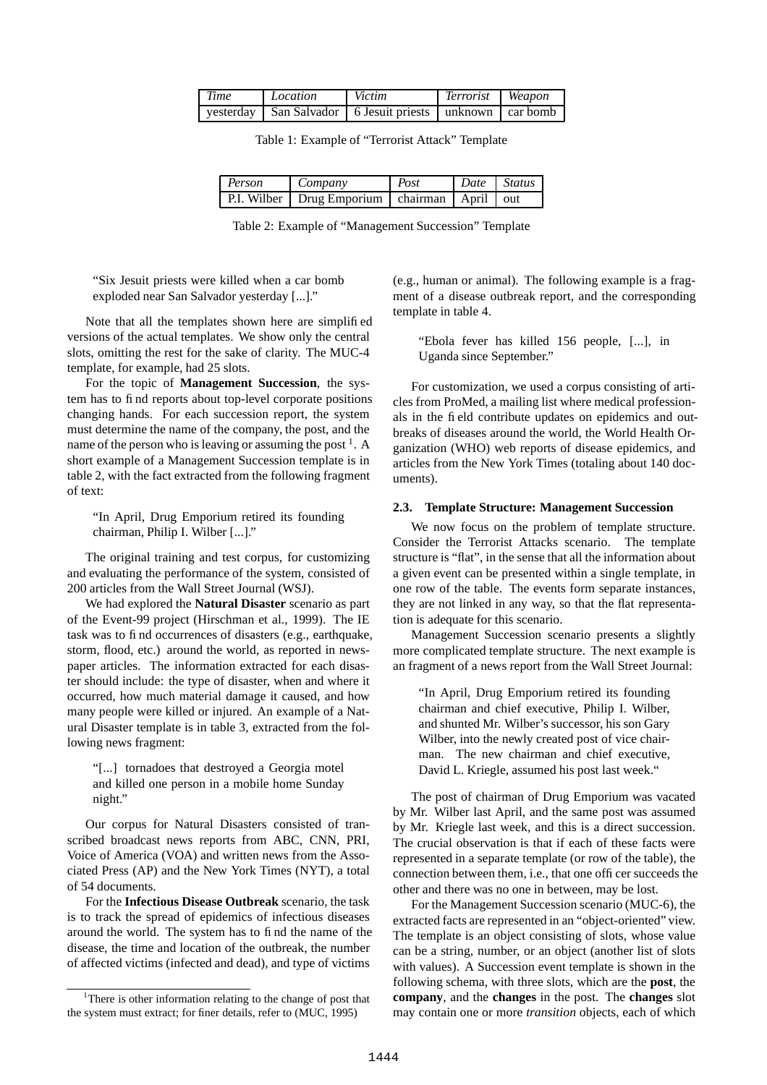| <b>Time</b> | Location | Victim                                                           | Terrorist Weapon |  |
|-------------|----------|------------------------------------------------------------------|------------------|--|
|             |          | yesterday   San Salvador   6 Jesuit priests   unknown   car bomb |                  |  |

Table 1: Example of "Terrorist Attack" Template

| <b>Person</b> | Company                                            | Post | Date Status |  |
|---------------|----------------------------------------------------|------|-------------|--|
|               | P.I. Wilber Drug Emporium   chairman   April   out |      |             |  |

Table 2: Example of "Management Succession" Template

"Six Jesuit priests were killed when a car bomb exploded near San Salvador yesterday [...]."

Note that all the templates shown here are simplified versions of the actual templates. We show only the central slots, omitting the rest for the sake of clarity. The MUC-4 template, for example, had 25 slots.

For the topic of **Management Succession**, the system has to find reports about top-level corporate positions changing hands. For each succession report, the system must determine the name of the company, the post, and the name of the person who is leaving or assuming the post  $<sup>1</sup>$ . A</sup> short example of a Management Succession template is in table 2, with the fact extracted from the following fragment of text:

"In April, Drug Emporium retired its founding chairman, Philip I. Wilber [...]."

The original training and test corpus, for customizing and evaluating the performance of the system, consisted of 200 articles from the Wall Street Journal (WSJ).

We had explored the **Natural Disaster** scenario as part of the Event-99 project (Hirschman et al., 1999). The IE task was to find occurrences of disasters (e.g., earthquake, storm, flood, etc.) around the world, as reported in newspaper articles. The information extracted for each disaster should include: the type of disaster, when and where it occurred, how much material damage it caused, and how many people were killed or injured. An example of a Natural Disaster template is in table 3, extracted from the following news fragment:

"[...] tornadoes that destroyed a Georgia motel and killed one person in a mobile home Sunday night."

Our corpus for Natural Disasters consisted of transcribed broadcast news reports from ABC, CNN, PRI, Voice of America (VOA) and written news from the Associated Press (AP) and the New York Times (NYT), a total of 54 documents.

For the **Infectious Disease Outbreak** scenario, the task is to track the spread of epidemics of infectious diseases around the world. The system has to find the name of the disease, the time and location of the outbreak, the number of affected victims (infected and dead), and type of victims

(e.g., human or animal). The following example is a fragment of a disease outbreak report, and the corresponding template in table 4.

"Ebola fever has killed 156 people, [...], in Uganda since September."

For customization, we used a corpus consisting of articles from ProMed, a mailing list where medical professionals in the field contribute updates on epidemics and outbreaks of diseases around the world, the World Health Organization (WHO) web reports of disease epidemics, and articles from the New York Times (totaling about 140 documents).

## **2.3. Template Structure: Management Succession**

We now focus on the problem of template structure. Consider the Terrorist Attacks scenario. The template structure is "flat", in the sense that all the information about a given event can be presented within a single template, in one row of the table. The events form separate instances, they are not linked in any way, so that the flat representation is adequate for this scenario.

Management Succession scenario presents a slightly more complicated template structure. The next example is an fragment of a news report from the Wall Street Journal:

"In April, Drug Emporium retired its founding chairman and chief executive, Philip I. Wilber, and shunted Mr. Wilber's successor, his son Gary Wilber, into the newly created post of vice chairman. The new chairman and chief executive, David L. Kriegle, assumed his post last week."

The post of chairman of Drug Emporium was vacated by Mr. Wilber last April, and the same post was assumed by Mr. Kriegle last week, and this is a direct succession. The crucial observation is that if each of these facts were represented in a separate template (or row of the table), the connection between them, i.e., that one officer succeeds the other and there was no one in between, may be lost.

For the Management Succession scenario (MUC-6), the extracted facts are represented in an "object-oriented" view. The template is an object consisting of slots, whose value can be a string, number, or an object (another list of slots with values). A Succession event template is shown in the following schema, with three slots, which are the **post**, the **company**, and the **changes** in the post. The **changes** slot may contain one or more *transition* objects, each of which

<sup>&</sup>lt;sup>1</sup>There is other information relating to the change of post that the system must extract; for finer details, refer to (MUC, 1995)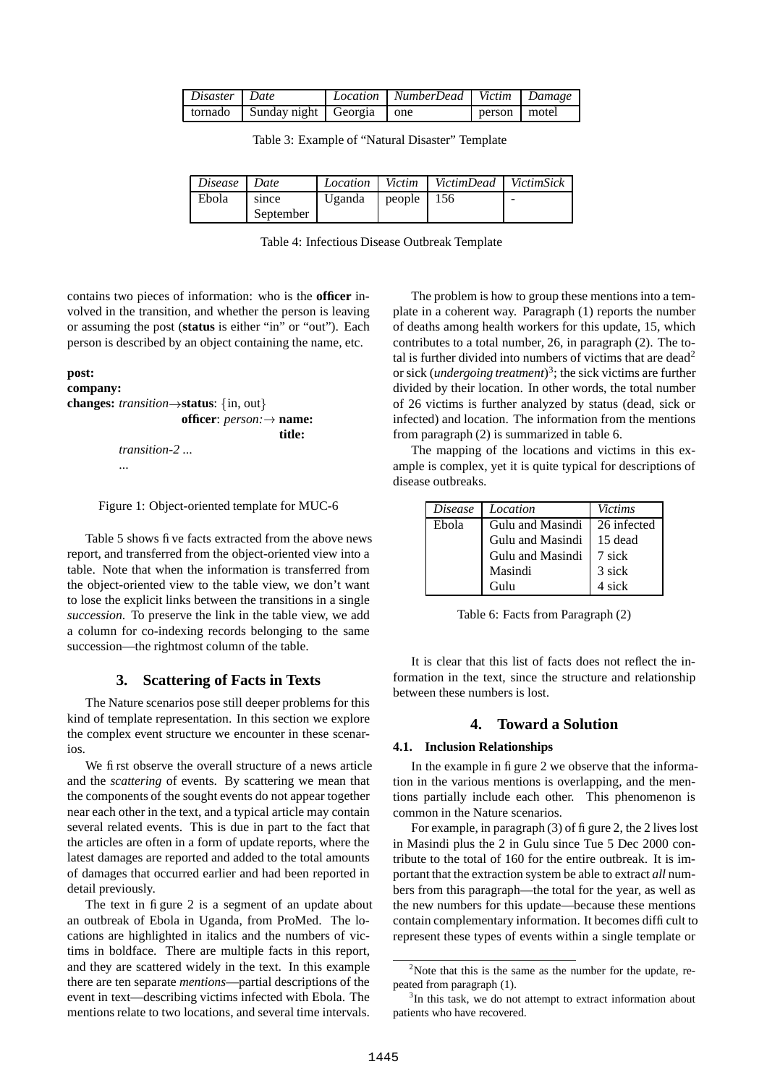| Disaster   Date |                                        | Location   NumberDead   Victim   Damage |              |  |
|-----------------|----------------------------------------|-----------------------------------------|--------------|--|
|                 | tornado   Sunday night   Georgia   one |                                         | person motel |  |

Table 3: Example of "Natural Disaster" Template

| Disease | Date      | Location Victim |              | VictimDead   VictimSick |   |
|---------|-----------|-----------------|--------------|-------------------------|---|
| Ebola   | since     | Uganda          | people $156$ |                         | - |
|         | September |                 |              |                         |   |

Table 4: Infectious Disease Outbreak Template

contains two pieces of information: who is the **officer** involved in the transition, and whether the person is leaving or assuming the post (**status** is either "in" or "out"). Each person is described by an object containing the name, etc.

## **post:**

```
company:
changes: transition \rightarrow status: {in, out}
                       officer: person: name:
                                           title:
          transition-2 ...
          ...
```
Figure 1: Object-oriented template for MUC-6

Table 5 shows five facts extracted from the above news report, and transferred from the object-oriented view into a table. Note that when the information is transferred from the object-oriented view to the table view, we don't want to lose the explicit links between the transitions in a single *succession*. To preserve the link in the table view, we add a column for co-indexing records belonging to the same succession—the rightmost column of the table.

## **3. Scattering of Facts in Texts**

The Nature scenarios pose still deeper problems for this kind of template representation. In this section we explore the complex event structure we encounter in these scenarios.

We first observe the overall structure of a news article and the *scattering* of events. By scattering we mean that the components of the sought events do not appear together near each other in the text, and a typical article may contain several related events. This is due in part to the fact that the articles are often in a form of update reports, where the latest damages are reported and added to the total amounts of damages that occurred earlier and had been reported in detail previously.

The text in figure 2 is a segment of an update about an outbreak of Ebola in Uganda, from ProMed. The locations are highlighted in italics and the numbers of victims in boldface. There are multiple facts in this report, and they are scattered widely in the text. In this example there are ten separate *mentions*—partial descriptions of the event in text—describing victims infected with Ebola. The mentions relate to two locations, and several time intervals.

The problem is how to group these mentions into a template in a coherent way. Paragraph (1) reports the number of deaths among health workers for this update, 15, which contributes to a total number, 26, in paragraph (2). The total is further divided into numbers of victims that are dead<sup>2</sup> or sick (*undergoing treatment*) 3 ; the sick victims are further divided by their location. In other words, the total number of 26 victims is further analyzed by status (dead, sick or infected) and location. The information from the mentions from paragraph (2) is summarized in table 6.

The mapping of the locations and victims in this example is complex, yet it is quite typical for descriptions of disease outbreaks.

| <i>Disease</i> | Location         | Victims     |
|----------------|------------------|-------------|
| Ebola          | Gulu and Masindi | 26 infected |
|                | Gulu and Masindi | 15 dead     |
|                | Gulu and Masindi | 7 sick      |
|                | Masindi          | 3 sick      |
|                | Gulu             | 4 sick      |

Table 6: Facts from Paragraph (2)

It is clear that this list of facts does not reflect the information in the text, since the structure and relationship between these numbers is lost.

## **4. Toward a Solution**

## **4.1. Inclusion Relationships**

In the example in figure 2 we observe that the information in the various mentions is overlapping, and the mentions partially include each other. This phenomenon is common in the Nature scenarios.

For example, in paragraph (3) of figure 2, the 2 lives lost in Masindi plus the 2 in Gulu since Tue 5 Dec 2000 contribute to the total of 160 for the entire outbreak. It is important that the extraction system be able to extract *all* numbers from this paragraph—the total for the year, as well as the new numbers for this update—because these mentions contain complementary information. It becomes difficult to represent these types of events within a single template or

 $2$ Note that this is the same as the number for the update, repeated from paragraph (1).

<sup>&</sup>lt;sup>3</sup>In this task, we do not attempt to extract information about patients who have recovered.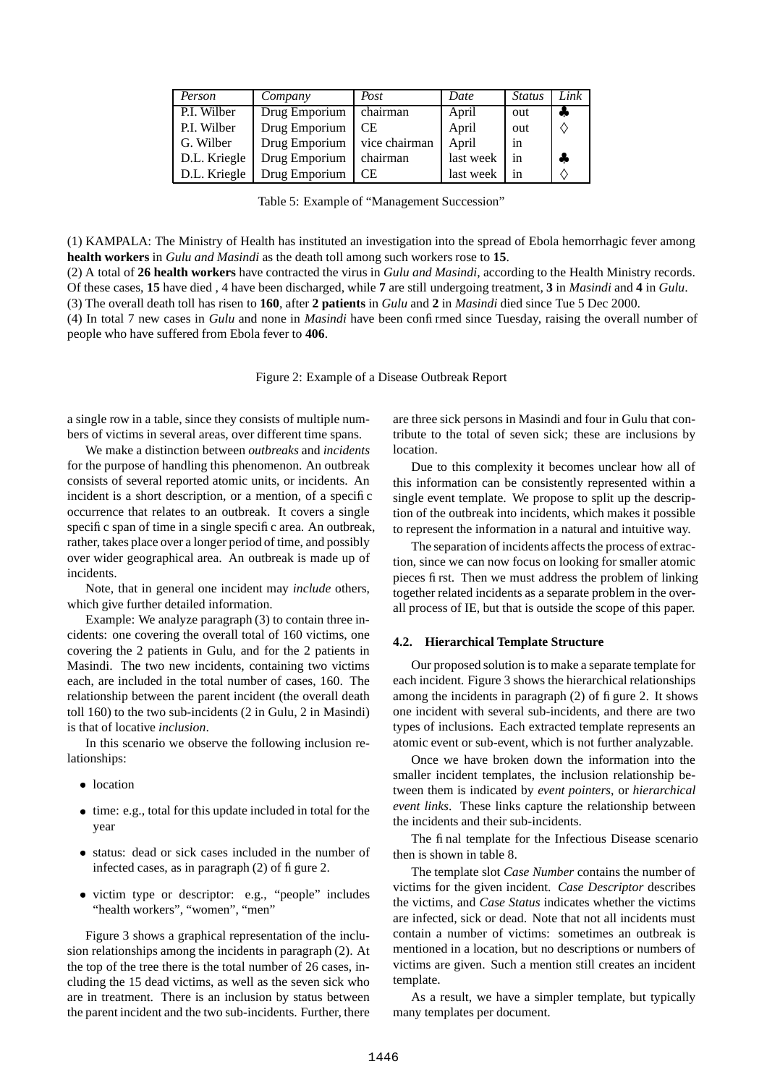| Person       | Company                       | Post      | Date      | <i>Status</i> | Link |
|--------------|-------------------------------|-----------|-----------|---------------|------|
| P.I. Wilber  | Drug Emporium                 | chairman  | April     | out           |      |
| P.I. Wilber  | Drug Emporium                 | <b>CE</b> | April     | out           |      |
| G. Wilber    | Drug Emporium   vice chairman |           | April     | in            |      |
| D.L. Kriegle | Drug Emporium                 | chairman  | last week | in            | 4    |
| D.L. Kriegle | Drug Emporium                 | СE        | last week | in            |      |

Table 5: Example of "Management Succession"

(1) KAMPALA: The Ministry of Health has instituted an investigation into the spread of Ebola hemorrhagic fever among **health workers** in *Gulu and Masindi* as the death toll among such workers rose to **15**.

(2) A total of **26 health workers** have contracted the virus in *Gulu and Masindi*, according to the Health Ministry records. Of these cases, **15** have died , 4 have been discharged, while **7** are still undergoing treatment, **3** in *Masindi* and **4** in *Gulu*. (3) The overall death toll has risen to **160**, after **2 patients** in *Gulu* and **2** in *Masindi* died since Tue 5 Dec 2000. (4) In total 7 new cases in *Gulu* and none in *Masindi* have been confirmed since Tuesday, raising the overall number of people who have suffered from Ebola fever to **406**.

Figure 2: Example of a Disease Outbreak Report

a single row in a table, since they consists of multiple numbers of victims in several areas, over different time spans.

We make a distinction between *outbreaks* and *incidents* for the purpose of handling this phenomenon. An outbreak consists of several reported atomic units, or incidents. An incident is a short description, or a mention, of a specific occurrence that relates to an outbreak. It covers a single specific span of time in a single specific area. An outbreak, rather, takes place over a longer period of time, and possibly over wider geographical area. An outbreak is made up of incidents.

Note, that in general one incident may *include* others, which give further detailed information.

Example: We analyze paragraph (3) to contain three incidents: one covering the overall total of 160 victims, one covering the 2 patients in Gulu, and for the 2 patients in Masindi. The two new incidents, containing two victims each, are included in the total number of cases, 160. The relationship between the parent incident (the overall death toll 160) to the two sub-incidents (2 in Gulu, 2 in Masindi) is that of locative *inclusion*.

In this scenario we observe the following inclusion relationships:

- location
- time: e.g., total for this update included in total for the year
- status: dead or sick cases included in the number of infected cases, as in paragraph  $(2)$  of figure 2.
- victim type or descriptor: e.g., "people" includes "health workers", "women", "men"

Figure 3 shows a graphical representation of the inclusion relationships among the incidents in paragraph (2). At the top of the tree there is the total number of 26 cases, including the 15 dead victims, as well as the seven sick who are in treatment. There is an inclusion by status between the parent incident and the two sub-incidents. Further, there

are three sick persons in Masindi and four in Gulu that contribute to the total of seven sick; these are inclusions by location.

Due to this complexity it becomes unclear how all of this information can be consistently represented within a single event template. We propose to split up the description of the outbreak into incidents, which makes it possible to represent the information in a natural and intuitive way.

The separation of incidents affects the process of extraction, since we can now focus on looking for smaller atomic pieces first. Then we must address the problem of linking together related incidents as a separate problem in the overall process of IE, but that is outside the scope of this paper.

## **4.2. Hierarchical Template Structure**

Our proposed solution is to make a separate template for each incident. Figure 3 shows the hierarchical relationships among the incidents in paragraph (2) of figure 2. It shows one incident with several sub-incidents, and there are two types of inclusions. Each extracted template represents an atomic event or sub-event, which is not further analyzable.

Once we have broken down the information into the smaller incident templates, the inclusion relationship between them is indicated by *event pointers*, or *hierarchical event links*. These links capture the relationship between the incidents and their sub-incidents.

The final template for the Infectious Disease scenario then is shown in table 8.

The template slot *Case Number* contains the number of victims for the given incident. *Case Descriptor* describes the victims, and *Case Status* indicates whether the victims are infected, sick or dead. Note that not all incidents must contain a number of victims: sometimes an outbreak is mentioned in a location, but no descriptions or numbers of victims are given. Such a mention still creates an incident template.

As a result, we have a simpler template, but typically many templates per document.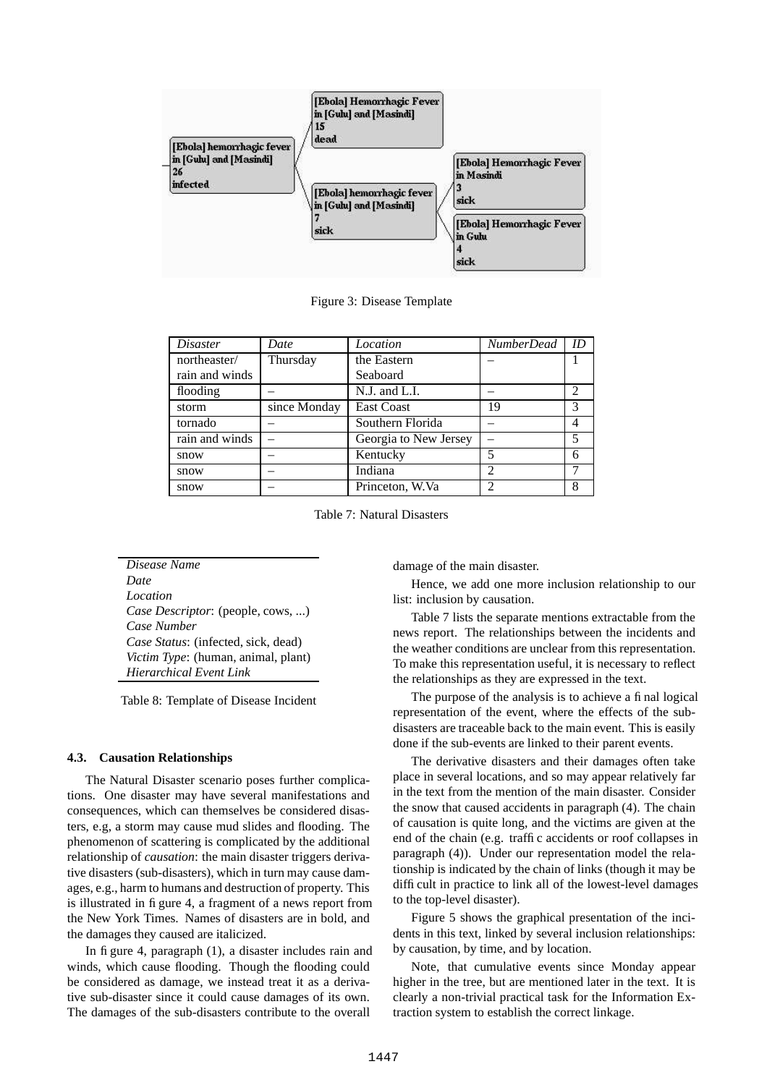

Figure 3: Disease Template

| <i>Disaster</i> | Date         | Location              | <b>NumberDead</b>           | ID                          |
|-----------------|--------------|-----------------------|-----------------------------|-----------------------------|
| northeaster/    | Thursday     | the Eastern           |                             |                             |
| rain and winds  |              | Seaboard              |                             |                             |
| flooding        |              | $N.J.$ and $L.I.$     |                             | $\mathcal{D}_{\mathcal{L}}$ |
| storm           | since Monday | <b>East Coast</b>     | 19                          | 3                           |
| tornado         |              | Southern Florida      |                             |                             |
| rain and winds  |              | Georgia to New Jersey |                             | 5                           |
| snow            |              | Kentucky              | 5                           | 6                           |
| snow            |              | Indiana               | $\mathcal{D}_{\mathcal{D}}$ |                             |
| snow            |              | Princeton, W.Va       |                             |                             |

Table 7: Natural Disasters

*Disease Name Date Location Case Descriptor*: (people, cows, ...) *Case Number Case Status*: (infected, sick, dead) *Victim Type*: (human, animal, plant) *Hierarchical Event Link*

Table 8: Template of Disease Incident

#### **4.3. Causation Relationships**

The Natural Disaster scenario poses further complications. One disaster may have several manifestations and consequences, which can themselves be considered disasters, e.g, a storm may cause mud slides and flooding. The phenomenon of scattering is complicated by the additional relationship of *causation*: the main disaster triggers derivative disasters (sub-disasters), which in turn may cause damages, e.g., harm to humans and destruction of property. This is illustrated in figure 4, a fragment of a news report from the New York Times. Names of disasters are in bold, and the damages they caused are italicized.

In figure 4, paragraph (1), a disaster includes rain and winds, which cause flooding. Though the flooding could be considered as damage, we instead treat it as a derivative sub-disaster since it could cause damages of its own. The damages of the sub-disasters contribute to the overall

damage of the main disaster.

Hence, we add one more inclusion relationship to our list: inclusion by causation.

Table 7 lists the separate mentions extractable from the news report. The relationships between the incidents and the weather conditions are unclear from this representation. To make this representation useful, it is necessary to reflect the relationships as they are expressed in the text.

The purpose of the analysis is to achieve a final logical representation of the event, where the effects of the subdisasters are traceable back to the main event. This is easily done if the sub-events are linked to their parent events.

The derivative disasters and their damages often take place in several locations, and so may appear relatively far in the text from the mention of the main disaster. Consider the snow that caused accidents in paragraph (4). The chain of causation is quite long, and the victims are given at the end of the chain (e.g. traffic accidents or roof collapses in paragraph (4)). Under our representation model the relationship is indicated by the chain of links (though it may be difficult in practice to link all of the lowest-level damages to the top-level disaster).

Figure 5 shows the graphical presentation of the incidents in this text, linked by several inclusion relationships: by causation, by time, and by location.

Note, that cumulative events since Monday appear higher in the tree, but are mentioned later in the text. It is clearly a non-trivial practical task for the Information Extraction system to establish the correct linkage.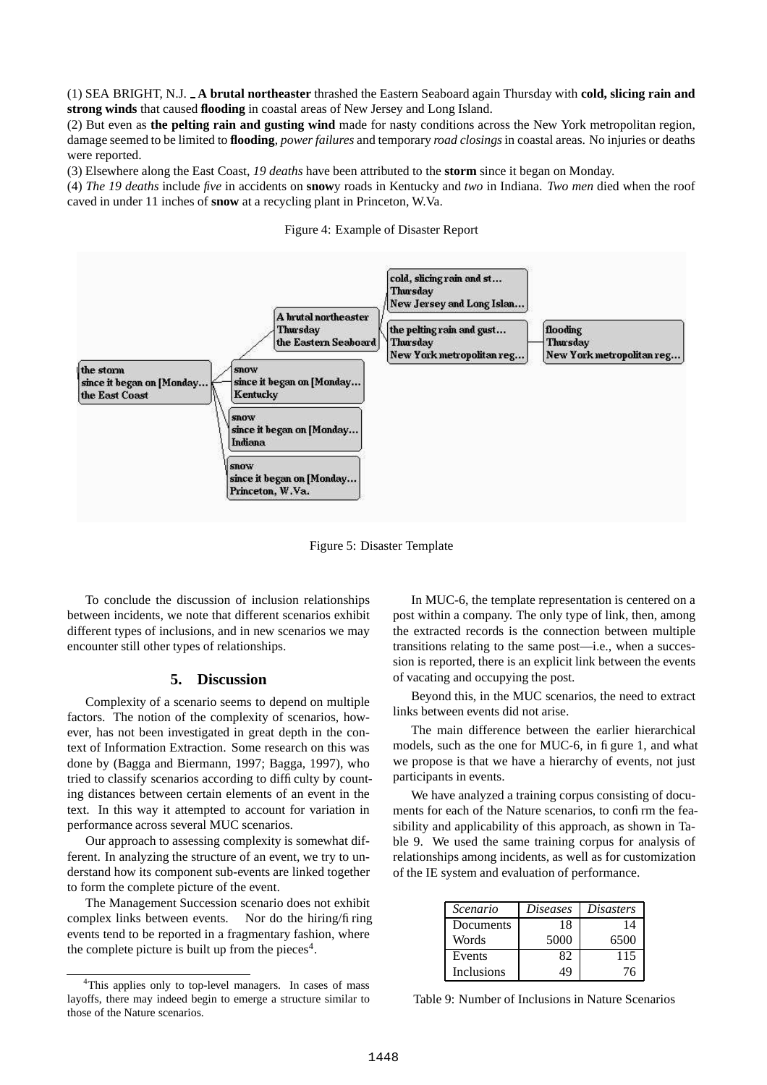(1) SEA BRIGHT, N.J. **A brutal northeaster** thrashed the Eastern Seaboard again Thursday with **cold, slicing rain and strong winds** that caused **flooding** in coastal areas of New Jersey and Long Island.

(2) But even as **the pelting rain and gusting wind** made for nasty conditions across the New York metropolitan region, damage seemed to be limited to **flooding**, *power failures* and temporary *road closings* in coastal areas. No injuries or deaths were reported.

(3) Elsewhere along the East Coast, *19 deaths* have been attributed to the **storm** since it began on Monday.

(4) *The 19 deaths* include *five* in accidents on **snow**y roads in Kentucky and *two* in Indiana. *Two men* died when the roof caved in under 11 inches of **snow** at a recycling plant in Princeton, W.Va.





Figure 5: Disaster Template

To conclude the discussion of inclusion relationships between incidents, we note that different scenarios exhibit different types of inclusions, and in new scenarios we may encounter still other types of relationships.

# **5. Discussion**

Complexity of a scenario seems to depend on multiple factors. The notion of the complexity of scenarios, however, has not been investigated in great depth in the context of Information Extraction. Some research on this was done by (Bagga and Biermann, 1997; Bagga, 1997), who tried to classify scenarios according to difficulty by counting distances between certain elements of an event in the text. In this way it attempted to account for variation in performance across several MUC scenarios.

Our approach to assessing complexity is somewhat different. In analyzing the structure of an event, we try to understand how its component sub-events are linked together to form the complete picture of the event.

The Management Succession scenario does not exhibit complex links between events. Nor do the hiring/fi ring events tend to be reported in a fragmentary fashion, where the complete picture is built up from the pieces<sup>4</sup>.

In MUC-6, the template representation is centered on a post within a company. The only type of link, then, among the extracted records is the connection between multiple transitions relating to the same post—i.e., when a succession is reported, there is an explicit link between the events of vacating and occupying the post.

Beyond this, in the MUC scenarios, the need to extract links between events did not arise.

The main difference between the earlier hierarchical models, such as the one for MUC-6, in figure 1, and what we propose is that we have a hierarchy of events, not just participants in events.

We have analyzed a training corpus consisting of documents for each of the Nature scenarios, to confirm the feasibility and applicability of this approach, as shown in Table 9. We used the same training corpus for analysis of relationships among incidents, as well as for customization of the IE system and evaluation of performance.

| Scenario   | <i>Diseases</i> | <i>Disasters</i> |
|------------|-----------------|------------------|
| Documents  | 18              | 14               |
| Words      | 5000            | 6500             |
| Events     | 82              | 115              |
| Inclusions | 49              | 76               |

Table 9: Number of Inclusions in Nature Scenarios

<sup>&</sup>lt;sup>4</sup>This applies only to top-level managers. In cases of mass layoffs, there may indeed begin to emerge a structure similar to those of the Nature scenarios.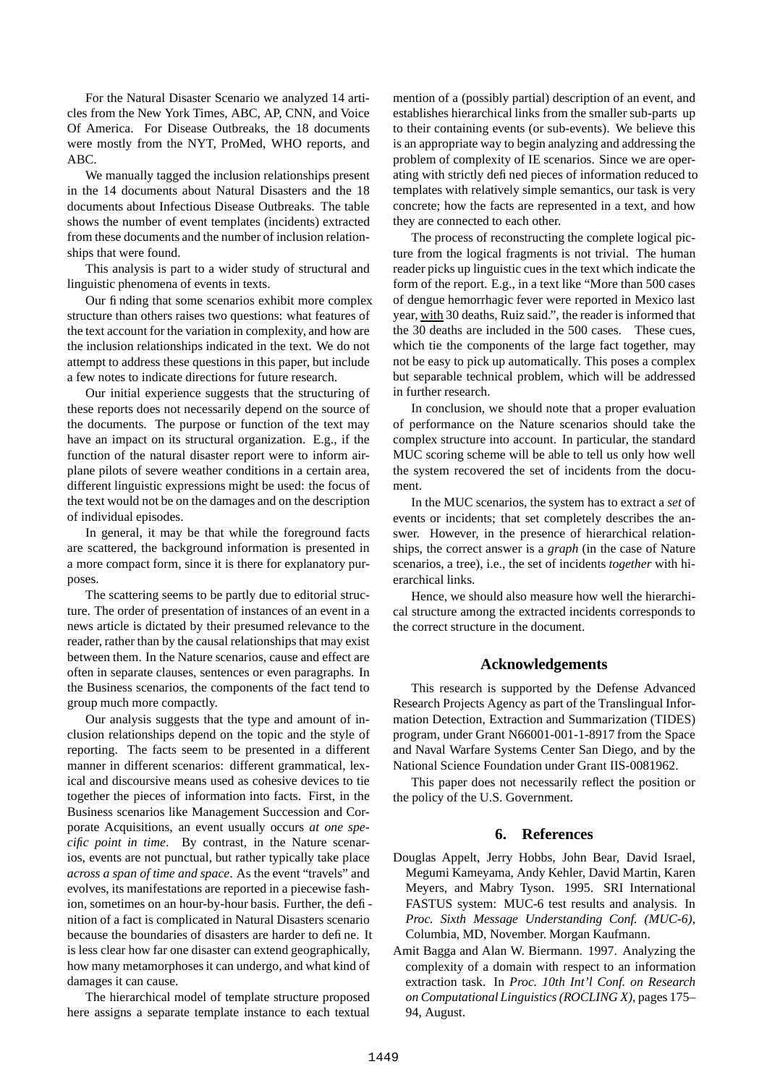For the Natural Disaster Scenario we analyzed 14 articles from the New York Times, ABC, AP, CNN, and Voice Of America. For Disease Outbreaks, the 18 documents were mostly from the NYT, ProMed, WHO reports, and ABC.

We manually tagged the inclusion relationships present in the 14 documents about Natural Disasters and the 18 documents about Infectious Disease Outbreaks. The table shows the number of event templates (incidents) extracted from these documents and the number of inclusion relationships that were found.

This analysis is part to a wider study of structural and linguistic phenomena of events in texts.

Our finding that some scenarios exhibit more complex structure than others raises two questions: what features of the text account for the variation in complexity, and how are the inclusion relationships indicated in the text. We do not attempt to address these questions in this paper, but include a few notes to indicate directions for future research.

Our initial experience suggests that the structuring of these reports does not necessarily depend on the source of the documents. The purpose or function of the text may have an impact on its structural organization. E.g., if the function of the natural disaster report were to inform airplane pilots of severe weather conditions in a certain area, different linguistic expressions might be used: the focus of the text would not be on the damages and on the description of individual episodes.

In general, it may be that while the foreground facts are scattered, the background information is presented in a more compact form, since it is there for explanatory purposes.

The scattering seems to be partly due to editorial structure. The order of presentation of instances of an event in a news article is dictated by their presumed relevance to the reader, rather than by the causal relationships that may exist between them. In the Nature scenarios, cause and effect are often in separate clauses, sentences or even paragraphs. In the Business scenarios, the components of the fact tend to group much more compactly.

Our analysis suggests that the type and amount of inclusion relationships depend on the topic and the style of reporting. The facts seem to be presented in a different manner in different scenarios: different grammatical, lexical and discoursive means used as cohesive devices to tie together the pieces of information into facts. First, in the Business scenarios like Management Succession and Corporate Acquisitions, an event usually occurs *at one specific point in time*. By contrast, in the Nature scenarios, events are not punctual, but rather typically take place *across a span of time and space*. As the event "travels" and evolves, its manifestations are reported in a piecewise fashion, sometimes on an hour-by-hour basis. Further, the definition of a fact is complicated in Natural Disasters scenario because the boundaries of disasters are harder to define. It is less clear how far one disaster can extend geographically, how many metamorphoses it can undergo, and what kind of damages it can cause.

The hierarchical model of template structure proposed here assigns a separate template instance to each textual

mention of a (possibly partial) description of an event, and establishes hierarchical links from the smaller sub-parts up to their containing events (or sub-events). We believe this is an appropriate way to begin analyzing and addressing the problem of complexity of IE scenarios. Since we are operating with strictly defined pieces of information reduced to templates with relatively simple semantics, our task is very concrete; how the facts are represented in a text, and how they are connected to each other.

The process of reconstructing the complete logical picture from the logical fragments is not trivial. The human reader picks up linguistic cues in the text which indicate the form of the report. E.g., in a text like "More than 500 cases of dengue hemorrhagic fever were reported in Mexico last year, with 30 deaths, Ruiz said.", the reader is informed that the 30 deaths are included in the 500 cases. These cues, which tie the components of the large fact together, may not be easy to pick up automatically. This poses a complex but separable technical problem, which will be addressed in further research.

In conclusion, we should note that a proper evaluation of performance on the Nature scenarios should take the complex structure into account. In particular, the standard MUC scoring scheme will be able to tell us only how well the system recovered the set of incidents from the document.

In the MUC scenarios, the system has to extract a *set* of events or incidents; that set completely describes the answer. However, in the presence of hierarchical relationships, the correct answer is a *graph* (in the case of Nature scenarios, a tree), i.e., the set of incidents *together* with hierarchical links.

Hence, we should also measure how well the hierarchical structure among the extracted incidents corresponds to the correct structure in the document.

## **Acknowledgements**

This research is supported by the Defense Advanced Research Projects Agency as part of the Translingual Information Detection, Extraction and Summarization (TIDES) program, under Grant N66001-001-1-8917 from the Space and Naval Warfare Systems Center San Diego, and by the National Science Foundation under Grant IIS-0081962.

This paper does not necessarily reflect the position or the policy of the U.S. Government.

## **6. References**

Douglas Appelt, Jerry Hobbs, John Bear, David Israel, Megumi Kameyama, Andy Kehler, David Martin, Karen Meyers, and Mabry Tyson. 1995. SRI International FASTUS system: MUC-6 test results and analysis. In *Proc. Sixth Message Understanding Conf. (MUC-6)*, Columbia, MD, November. Morgan Kaufmann.

Amit Bagga and Alan W. Biermann. 1997. Analyzing the complexity of a domain with respect to an information extraction task. In *Proc. 10th Int'l Conf. on Research on Computational Linguistics(ROCLING X)*, pages 175– 94, August.